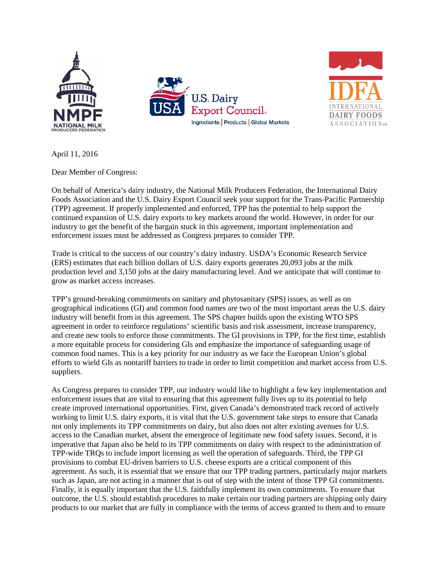





April 11, 2016

Dear Member of Congress:

On behalf of America's dairy industry, the National Milk Producers Federation, the International Dairy Foods Association and the U.S. Dairy Export Council seek your support for the Trans-Pacific Partnership (TPP) agreement. If properly implemented and enforced, TPP has the potential to help support the continued expansion of U.S. dairy exports to key markets around the world. However, in order for our industry to get the benefit of the bargain stuck in this agreement, important implementation and enforcement issues must be addressed as Congress prepares to consider TPP.

Trade is critical to the success of our country's dairy industry. USDA's Economic Research Service (ERS) estimates that each billion dollars of U.S. dairy exports generates 20,093 jobs at the milk production level and 3,150 jobs at the dairy manufacturing level. And we anticipate that will continue to grow as market access increases.

TPP's ground-breaking commitments on sanitary and phytosanitary (SPS) issues, as well as on geographical indications (GI) and common food names are two of the most important areas the U.S. dairy industry will benefit from in this agreement. The SPS chapter builds upon the existing WTO SPS agreement in order to reinforce regulations' scientific basis and risk assessment, increase transparency, and create new tools to enforce those commitments. The GI provisions in TPP, for the first time, establish a more equitable process for considering GIs and emphasize the importance of safeguarding usage of common food names. This is a key priority for our industry as we face the European Union's global efforts to wield GIs as nontariff barriers to trade in order to limit competition and market access from U.S. suppliers.

As Congress prepares to consider TPP, our industry would like to highlight a few key implementation and enforcement issues that are vital to ensuring that this agreement fully lives up to its potential to help create improved international opportunities. First, given Canada's demonstrated track record of actively working to limit U.S. dairy exports, it is vital that the U.S. government take steps to ensure that Canada not only implements its TPP commitments on dairy, but also does not alter existing avenues for U.S. access to the Canadian market, absent the emergence of legitimate new food safety issues. Second, it is imperative that Japan also be held to its TPP commitments on dairy with respect to the administration of TPP-wide TRQs to include import licensing as well the operation of safeguards. Third, the TPP GI provisions to combat EU-driven barriers to U.S. cheese exports are a critical component of this agreement. As such, it is essential that we ensure that our TPP trading partners, particularly major markets such as Japan, are not acting in a manner that is out of step with the intent of those TPP GI commitments. Finally, it is equally important that the U.S. faithfully implement its own commitments. To ensure that outcome, the U.S. should establish procedures to make certain our trading partners are shipping only dairy products to our market that are fully in compliance with the terms of access granted to them and to ensure